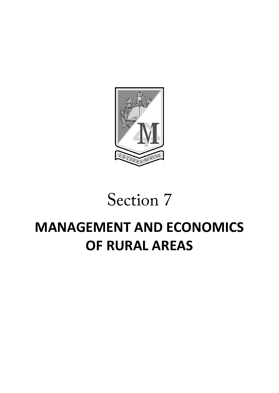

# Section 7

# **MANAGEMENT AND ECONOMICS OF RURAL AREAS**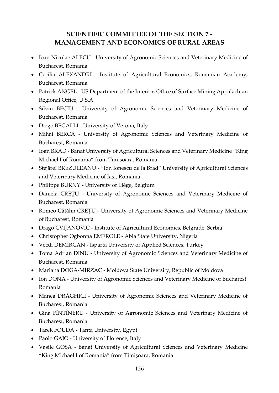# **SCIENTIFIC COMMITTEE OF THE SECTION 7 - MANAGEMENT AND ECONOMICS OF RURAL AREAS**

- Ioan Niculae ALECU University of Agronomic Sciences and Veterinary Medicine of Bucharest, Romania
- Cecilia ALEXANDRI Institute of Agricultural Economics, Romanian Academy, Bucharest, Romania
- Patrick ANGEL US Department of the Interior, Office of Surface Mining Appalachian Regional Office, U.S.A.
- Silviu BECIU University of Agronomic Sciences and Veterinary Medicine of Bucharest, Romania
- Diego BEGALLI University of Verona, Italy
- Mihai BERCA University of Agronomic Sciences and Veterinary Medicine of Bucharest, Romania
- Ioan BRAD Banat University of Agricultural Sciences and Veterinary Medicine "King Michael I of Romania" from Timisoara, Romania
- Stejărel BREZULEANU "Ion Ionescu de la Brad" University of Agricultural Sciences and Veterinary Medicine of Iași, Romania
- Philippe BURNY **-** University of Liège, Belgium
- Daniela CREŢU University of Agronomic Sciences and Veterinary Medicine of Bucharest, Romania
- Romeo Cătălin CREŢU University of Agronomic Sciences and Veterinary Medicine of Bucharest, Romania
- Drago CVIJANOVIC Institute of Agricultural Economics, Belgrade, Serbia
- Christopher Ogbonna EMEROLE Abia State University, Nigeria
- Vecdi DEMIRCAN **-** Isparta University of Applied Sciences, Turkey
- Toma Adrian DINU University of Agronomic Sciences and Veterinary Medicine of Bucharest, Romania
- Mariana DOGA-MÎRZAC Moldova State University, Republic of Moldova
- Ion DONA University of Agronomic Sciences and Veterinary Medicine of Bucharest, Romania
- Manea DRĂGHICI University of Agronomic Sciences and Veterinary Medicine of Bucharest, Romania
- Gina FÎNTÎNERU University of Agronomic Sciences and Veterinary Medicine of Bucharest, Romania
- Tarek FOUDA **-** Tanta University, Egypt
- Paolo GAJO University of Florence, Italy
- Vasile GOSA Banat University of Agricultural Sciences and Veterinary Medicine "King Michael I of Romania" from Timişoara, Romania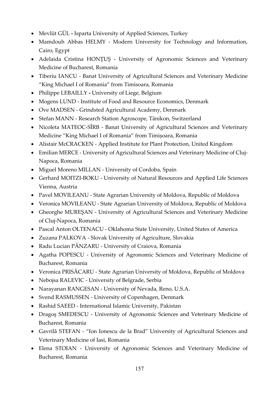- Mevlüt GÜL **-** Isparta University of Applied Sciences, Turkey
- Mamdouh Abbas HELMY Modern University for Technology and Information, Cairo, Egypt
- Adelaida Cristina HONȚUȘ University of Agronomic Sciences and Veterinary Medicine of Bucharest, Romania
- Tiberiu IANCU Banat University of Agricultural Sciences and Veterinary Medicine "King Michael I of Romania" from Timisoara, Romania
- Philippe LEBAILLY **-** University of Liege, Belgium
- Mogens LUND Institute of Food and Resource Economics, Denmark
- Ove MADSEN Grindsted Agricultural Academy, Denmark
- Stefan MANN Research Station Agroscope, Tänikon, Switzerland
- Nicoleta MATEOC-SÎRB Banat University of Agricultural Sciences and Veterinary Medicine "King Michael I of Romania" from Timișoara, Romania
- Alistair McCRACKEN Applied Institute for Plant Protection, United Kingdom
- Emilian MERCE University of Agricultural Sciences and Veterinary Medicine of Cluj-Napoca, Romania
- Miguel Moreno MILLAN University of Cordoba, Spain
- Gerhard MOITZI-BOKU University of Natural Resources and Applied Life Sciences Vienna, Austria
- Pavel MOVILEANU State Agrarian University of Moldova, Republic of Moldova
- Veronica MOVILEANU State Agrarian University of Moldova, Republic of Moldova
- Gheorghe MUREŞAN University of Agricultural Sciences and Veterinary Medicine of Cluj-Napoca, Romania
- Pascal Anton OLTENACU Oklahoma State University, United States of America
- Zuzana PALKOVA Slovak University of Agriculture, Slovakia
- Radu Lucian PÂNZARU University of Craiova, Romania
- Agatha POPESCU University of Agronomic Sciences and Veterinary Medicine of Bucharest, Romania
- Veronica PRISĂCARU State Agrarian University of Moldova, Republic of Moldova
- Nebojsa RALEVIC University of Belgrade, Serbia
- Narayanan RANGESAN University of Nevada, Reno, U.S.A.
- Svend RASMUSSEN University of Copenhagen, Denmark
- Rashid SAEED International Islamic University, Pakistan
- Dragoş SMEDESCU University of Agronomic Sciences and Veterinary Medicine of Bucharest, Romania
- Gavrilă STEFAN "Ion Ionescu de la Brad" University of Agricultural Sciences and Veterinary Medicine of Iasi, Romania
- Elena STOIAN University of Agronomic Sciences and Veterinary Medicine of Bucharest, Romania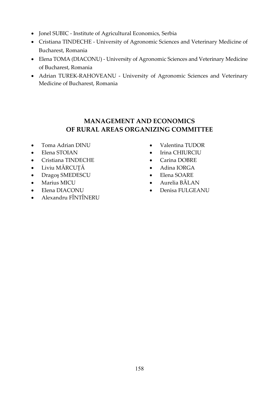- Jonel SUBIC Institute of Agricultural Economics, Serbia
- Cristiana TINDECHE University of Agronomic Sciences and Veterinary Medicine of Bucharest, Romania
- Elena TOMA (DIACONU) University of Agronomic Sciences and Veterinary Medicine of Bucharest, Romania
- Adrian TUREK-RAHOVEANU University of Agronomic Sciences and Veterinary Medicine of Bucharest, Romania

# **MANAGEMENT AND ECONOMICS OF RURAL AREAS ORGANIZING COMMITTEE**

- Toma Adrian DINU
- Elena STOIAN
- Cristiana TINDECHE
- Liviu MĂRCUŢĂ
- Dragoş SMEDESCU
- Marius MICU
- Elena DIACONU
- Alexandru FÎNTÎNERU
- Valentina TUDOR
- Irina CHIURCIU
- Carina DOBRE
- Adina IORGA
- Elena SOARE
- Aurelia BĂLAN
- Denisa FULGEANU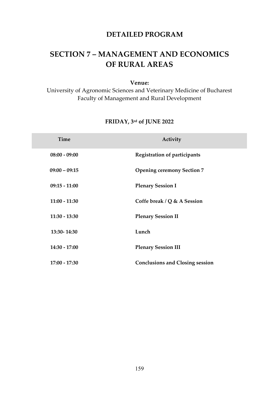# **DETAILED PROGRAM**

# **SECTION 7 – MANAGEMENT AND ECONOMICS OF RURAL AREAS**

#### **Venue:**

University of Agronomic Sciences and Veterinary Medicine of Bucharest Faculty of Management and Rural Development

# **FRIDAY, 3rd of JUNE 2022**

| <b>Time</b>     | Activity                               |
|-----------------|----------------------------------------|
| $08:00 - 09:00$ | <b>Registration of participants</b>    |
| $09:00 - 09:15$ | <b>Opening ceremony Section 7</b>      |
| $09:15 - 11:00$ | <b>Plenary Session I</b>               |
| $11:00 - 11:30$ | Coffe break / $Q$ & A Session          |
| $11:30 - 13:30$ | <b>Plenary Session II</b>              |
| 13:30-14:30     | Lunch                                  |
| 14:30 - 17:00   | <b>Plenary Session III</b>             |
| $17:00 - 17:30$ | <b>Conclusions and Closing session</b> |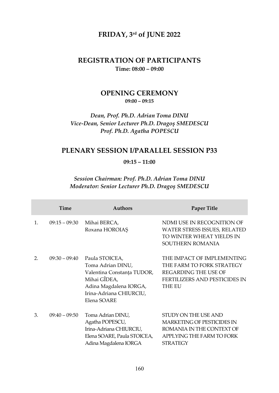# **FRIDAY, 3rd of JUNE 2022**

## **REGISTRATION OF PARTICIPANTS Time: 08:00 – 09:00**

# **OPENING CEREMONY 09:00 – 09:15**

## *Dean, Prof. Ph.D. Adrian Toma DINU Vice-Dean, Senior Lecturer Ph.D. Dragoş SMEDESCU Prof. Ph.D. Agatha POPESCU*

# **PLENARY SESSION I/PARALLEL SESSION P33**

#### **09:15 – 11:00**

#### *Session Chairman: Prof. Ph.D. Adrian Toma DINU Moderator: Senior Lecturer Ph.D. Dragoş SMEDESCU*

|                       | <b>Time</b>     | <b>Authors</b>                                                                                                                                        | <b>Paper Title</b>                                                                                                                       |
|-----------------------|-----------------|-------------------------------------------------------------------------------------------------------------------------------------------------------|------------------------------------------------------------------------------------------------------------------------------------------|
| 1.                    | $09:15 - 09:30$ | Mihai BERCA,<br>Roxana HOROIAȘ                                                                                                                        | NDMI USE IN RECOGNITION OF<br>WATER STRESS ISSUES, RELATED<br>TO WINTER WHEAT YIELDS IN<br>SOUTHERN ROMANIA                              |
| $\mathcal{P}_{\cdot}$ | $09:30 - 09:40$ | Paula STOICEA,<br>Toma Adrian DINU,<br>Valentina Constanța TUDOR,<br>Mihai GÎDEA,<br>Adina Magdalena IORGA,<br>Irina-Adriana CHIURCIU,<br>Elena SOARE | THE IMPACT OF IMPLEMENTING<br>THE FARM TO FORK STRATEGY<br><b>REGARDING THE USE OF</b><br><b>FERTILIZERS AND PESTICIDES IN</b><br>THE EU |
| 3.                    | $09:40 - 09:50$ | Toma Adrian DINU,<br>Agatha POPESCU,<br>Irina-Adriana CHIURCIU,<br>Elena SOARE, Paula STOICEA,<br>Adina Magdalena IORGA                               | STUDY ON THE USE AND<br><b>MARKETING OF PESTICIDES IN</b><br>ROMANIA IN THE CONTEXT OF<br>APPLYING THE FARM TO FORK<br><b>STRATEGY</b>   |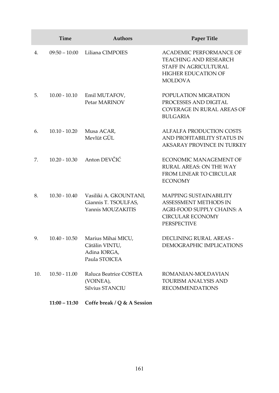|     | Time            | <b>Authors</b>                                                        | Paper Title                                                                                                                      |
|-----|-----------------|-----------------------------------------------------------------------|----------------------------------------------------------------------------------------------------------------------------------|
| 4.  | $09:50 - 10:00$ | Liliana CIMPOIES                                                      | <b>ACADEMIC PERFORMANCE OF</b><br>TEACHING AND RESEARCH<br>STAFF IN AGRICULTURAL<br><b>HIGHER EDUCATION OF</b><br><b>MOLDOVA</b> |
| 5.  | $10.00 - 10.10$ | Emil MUTAFOV,<br>Petar MARINOV                                        | POPULATION MIGRATION<br>PROCESSES AND DIGITAL<br>COVERAGE IN RURAL AREAS OF<br><b>BULGARIA</b>                                   |
| 6.  | $10.10 - 10.20$ | Musa ACAR,<br>Mevlüt GÜL                                              | ALFALFA PRODUCTION COSTS<br>AND PROFITABILITY STATUS IN<br>AKSARAY PROVINCE IN TURKEY                                            |
| 7.  | $10.20 - 10.30$ | Anton DEVČIĆ                                                          | ECONOMIC MANAGEMENT OF<br>RURAL AREAS: ON THE WAY<br>FROM LINEAR TO CIRCULAR<br><b>ECONOMY</b>                                   |
| 8.  | $10.30 - 10.40$ | Vasiliki A. GKOUNTANI,<br>Giannis T. TSOULFAS,<br>Yannis MOUZAKITIS   | MAPPING SUSTAINABILITY<br>ASSESSMENT METHODS IN<br>AGRI-FOOD SUPPLY CHAINS: A<br><b>CIRCULAR ECONOMY</b><br><b>PERSPECTIVE</b>   |
| 9.  | $10.40 - 10.50$ | Marius Mihai MICU,<br>Cătălin VINTU,<br>Adina IORGA,<br>Paula STOICEA | DECLINING RURAL AREAS -<br>DEMOGRAPHIC IMPLICATIONS                                                                              |
| 10. | $10.50 - 11.00$ | Raluca Beatrice COSTEA<br>(VOINEA),<br>Silvius STANCIU                | ROMANIAN-MOLDAVIAN<br>TOURISM ANALYSIS AND<br><b>RECOMMENDATIONS</b>                                                             |
|     | $11:00 - 11:30$ | Coffe break / Q & A Session                                           |                                                                                                                                  |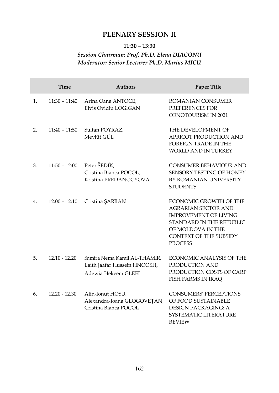# **PLENARY SESSION II**

### **11:30 – 13:30**

# *Session Chairman: Prof. Ph.D. Elena DIACONU Moderator: Senior Lecturer Ph.D. Marius MICU*

|    | <b>Time</b>     | <b>Authors</b>                                                                      | Paper Title                                                                                                                                                                       |
|----|-----------------|-------------------------------------------------------------------------------------|-----------------------------------------------------------------------------------------------------------------------------------------------------------------------------------|
| 1. | $11:30 - 11:40$ | Arina Oana ANTOCE,<br>Elvis Ovidiu LOGIGAN                                          | ROMANIAN CONSUMER<br>PREFERENCES FOR<br><b>OENOTOURISM IN 2021</b>                                                                                                                |
| 2. | $11:40 - 11:50$ | Sultan POYRAZ,<br>Mevlüt GÜL                                                        | THE DEVELOPMENT OF<br>APRICOT PRODUCTION AND<br><b>FOREIGN TRADE IN THE</b><br><b>WORLD AND IN TURKEY</b>                                                                         |
| 3. | $11:50 - 12:00$ | Peter ŠEDÍK,<br>Cristina Bianca POCOL,<br>Kristína PREDANÓCYOVÁ                     | CONSUMER BEHAVIOUR AND<br>SENSORY TESTING OF HONEY<br>BY ROMANIAN UNIVERSITY<br><b>STUDENTS</b>                                                                                   |
| 4. | $12:00 - 12:10$ | Cristina ŞARBAN                                                                     | ECONOMIC GROWTH OF THE<br><b>AGRARIAN SECTOR AND</b><br><b>IMPROVEMENT OF LIVING</b><br>STANDARD IN THE REPUBLIC<br>OF MOLDOVA IN THE<br>CONTEXT OF THE SUBSIDY<br><b>PROCESS</b> |
| 5. | $12.10 - 12.20$ | Samira Nema Kamil AL-THAMIR,<br>Laith Jaafar Hussein HNOOSH,<br>Adewia Hekeem GLEEL | ECONOMIC ANALYSIS OF THE<br>PRODUCTION AND<br>PRODUCTION COSTS OF CARP<br><b>FISH FARMS IN IRAQ</b>                                                                               |
| 6. | $12.20 - 12.30$ | Alin-Ionuț HOSU,<br>Alexandra-Ioana GLOGOVEȚAN,<br>Cristina Bianca POCOL            | <b>CONSUMERS' PERCEPTIONS</b><br>OF FOOD SUSTAINABLE<br><b>DESIGN PACKAGING: A</b><br>SYSTEMATIC LITERATURE<br><b>REVIEW</b>                                                      |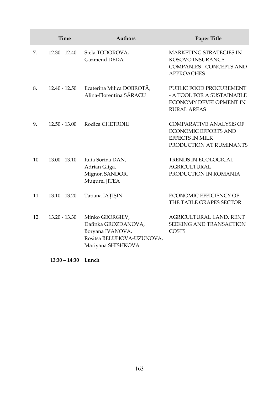|     | Time            | <b>Authors</b>                                                                                                | <b>Paper Title</b>                                                                                                 |
|-----|-----------------|---------------------------------------------------------------------------------------------------------------|--------------------------------------------------------------------------------------------------------------------|
| 7.  | $12.30 - 12.40$ | Stela TODOROVA,<br>Gazmend DEDA                                                                               | <b>MARKETING STRATEGIES IN</b><br><b>KOSOVO INSURANCE</b><br><b>COMPANIES - CONCEPTS AND</b><br><b>APPROACHES</b>  |
| 8.  | $12.40 - 12.50$ | Ecaterina Milica DOBROTĂ,<br>Alina-Florentina SĂRACU                                                          | PUBLIC FOOD PROCUREMENT<br>- A TOOL FOR A SUSTAINABLE<br>ECONOMY DEVELOPMENT IN<br><b>RURAL AREAS</b>              |
| 9.  | $12.50 - 13.00$ | Rodica CHETROIU                                                                                               | <b>COMPARATIVE ANALYSIS OF</b><br><b>ECONOMIC EFFORTS AND</b><br><b>EFFECTS IN MILK</b><br>PRODUCTION AT RUMINANTS |
| 10. | $13.00 - 13.10$ | Iulia Sorina DAN,<br>Adrian Gliga,<br>Mignon SANDOR,<br>Mugurel JITEA                                         | <b>TRENDS IN ECOLOGICAL</b><br><b>AGRICULTURAL</b><br>PRODUCTION IN ROMANIA                                        |
| 11. | $13.10 - 13.20$ | Tatiana IATIȘIN                                                                                               | <b>ECONOMIC EFFICIENCY OF</b><br>THE TABLE GRAPES SECTOR                                                           |
| 12. | 13.20 - 13.30   | Minko GEORGIEV,<br>Dafinka GROZDANOVA,<br>Boryana IVANOVA,<br>Rositsa BELUHOVA-UZUNOVA,<br>Mariyana SHISHKOVA | AGRICULTURAL LAND, RENT<br><b>SEEKING AND TRANSACTION</b><br><b>COSTS</b>                                          |

**13:30 – 14:30 Lunch**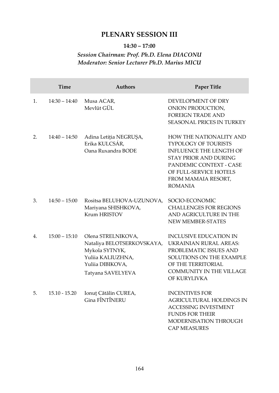# **PLENARY SESSION III**

### **14:30 – 17:00**

# *Session Chairman: Prof. Ph.D. Elena DIACONU Moderator: Senior Lecturer Ph.D. Marius MICU*

|                  | <b>Time</b>     | <b>Authors</b>                                                                                                                   | <b>Paper Title</b>                                                                                                                                                                                                     |
|------------------|-----------------|----------------------------------------------------------------------------------------------------------------------------------|------------------------------------------------------------------------------------------------------------------------------------------------------------------------------------------------------------------------|
| 1.               | $14:30 - 14:40$ | Musa ACAR,<br>Mevlüt GÜL                                                                                                         | DEVELOPMENT OF DRY<br>ONION PRODUCTION,<br><b>FOREIGN TRADE AND</b><br>SEASONAL PRICES IN TURKEY                                                                                                                       |
| 2.               | $14:40 - 14:50$ | Adina Letiția NEGRUȘA,<br>Erika KULCSÁR,<br>Oana Ruxandra BODE                                                                   | <b>HOW THE NATIONALITY AND</b><br>TYPOLOGY OF TOURISTS<br><b>INFLUENCE THE LENGTH OF</b><br><b>STAY PRIOR AND DURING</b><br>PANDEMIC CONTEXT - CASE<br>OF FULL-SERVICE HOTELS<br>FROM MAMAIA RESORT,<br><b>ROMANIA</b> |
| 3.               | $14:50 - 15:00$ | Rositsa BELUHOVA-UZUNOVA,<br>Mariyana SHISHKOVA,<br>Krum HRISTOV                                                                 | SOCIO-ECONOMIC<br><b>CHALLENGES FOR REGIONS</b><br>AND AGRICULTURE IN THE<br>NEW MEMBER-STATES                                                                                                                         |
| $\overline{4}$ . | $15:00 - 15:10$ | Olena STRELNIKOVA,<br>Nataliya BELOTSERKOVSKAYA,<br>Mykola SYTNYK,<br>Yuliia KALIUZHNA,<br>Yuliia DIBIKOVA,<br>Tatyana SAVELYEVA | <b>INCLUSIVE EDUCATION IN</b><br>UKRAINIAN RURAL AREAS:<br>PROBLEMATIC ISSUES AND<br>SOLUTIONS ON THE EXAMPLE<br>OF THE TERRITORIAL<br><b>COMMUNITY IN THE VILLAGE</b><br>OF KURYLIVKA                                 |
| 5.               | 15.10 - 15.20   | Ionuț Cătălin CUREA,<br>Gina FÎNTÎNERU                                                                                           | <b>INCENTIVES FOR</b><br><b>AGRICULTURAL HOLDINGS IN</b><br><b>ACCESSING INVESTMENT</b><br><b>FUNDS FOR THEIR</b><br><b>MODERNISATION THROUGH</b><br><b>CAP MEASURES</b>                                               |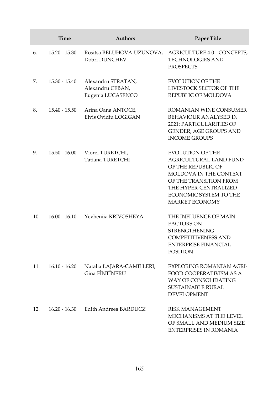|     | Time            | <b>Authors</b>                                              | Paper Title                                                                                                                                                                                                    |
|-----|-----------------|-------------------------------------------------------------|----------------------------------------------------------------------------------------------------------------------------------------------------------------------------------------------------------------|
| 6.  | $15.20 - 15.30$ | Rositsa BELUHOVA-UZUNOVA,<br>Dobri DUNCHEV                  | AGRICULTURE 4.0 - CONCEPTS,<br><b>TECHNOLOGIES AND</b><br><b>PROSPECTS</b>                                                                                                                                     |
| 7.  | $15.30 - 15.40$ | Alexandru STRATAN,<br>Alexandru CEBAN,<br>Eugenia LUCASENCO | <b>EVOLUTION OF THE</b><br>LIVESTOCK SECTOR OF THE<br>REPUBLIC OF MOLDOVA                                                                                                                                      |
| 8.  | $15.40 - 15.50$ | Arina Oana ANTOCE,<br>Elvis Ovidiu LOGIGAN                  | ROMANIAN WINE CONSUMER<br><b>BEHAVIOUR ANALYSED IN</b><br>2021: PARTICULARITIES OF<br>GENDER, AGE GROUPS AND<br><b>INCOME GROUPS</b>                                                                           |
| 9.  | $15.50 - 16.00$ | Viorel TURETCHI,<br>Tatiana TURETCHI                        | <b>EVOLUTION OF THE</b><br><b>AGRICULTURAL LAND FUND</b><br>OF THE REPUBLIC OF<br>MOLDOVA IN THE CONTEXT<br>OF THE TRANSITION FROM<br>THE HYPER-CENTRALIZED<br>ECONOMIC SYSTEM TO THE<br><b>MARKET ECONOMY</b> |
| 10. | $16.00 - 16.10$ | Yevheniia KRIVOSHEYA                                        | THE INFLUENCE OF MAIN<br><b>FACTORS ON</b><br><b>STRENGTHENING</b><br><b>COMPETITIVENESS AND</b><br><b>ENTERPRISE FINANCIAL</b><br><b>POSITION</b>                                                             |
| 11. | $16.10 - 16.20$ | Natalia LAJARA-CAMILLERI,<br>Gina FÎNTÎNERU                 | <b>EXPLORING ROMANIAN AGRI-</b><br>FOOD COOPERATIVISM AS A<br>WAY OF CONSOLIDATING<br><b>SUSTAINABLE RURAL</b><br><b>DEVELOPMENT</b>                                                                           |
| 12. | $16.20 - 16.30$ | Edith Andreea BARDUCZ                                       | <b>RISK MANAGEMENT</b><br>MECHANISMS AT THE LEVEL<br>OF SMALL AND MEDIUM SIZE<br><b>ENTERPRISES IN ROMANIA</b>                                                                                                 |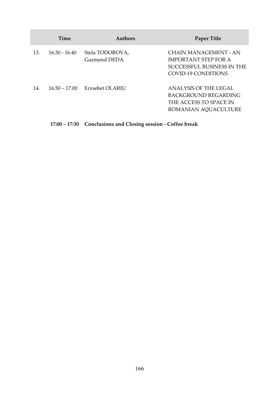|     | Time            | <b>Authors</b>                  | Paper Title                                                                                               |
|-----|-----------------|---------------------------------|-----------------------------------------------------------------------------------------------------------|
| 13. | $16.30 - 16.40$ | Stela TODOROVA,<br>Gazmend DEDA | CHAIN MANAGEMENT - AN<br><b>IMPORTANT STEP FOR A</b><br>SUCCESSEUL BUSINESS IN THE<br>COVID-19 CONDITIONS |
| 14. | $16.50 - 17.00$ | Erzsebet OLARIU                 | ANALYSIS OF THE LEGAL<br>BACKGROUND REGARDING<br>THE ACCESS TO SPACE IN<br>ROMANIAN AOUACULTURE           |

**17:00 – 17:30 Conclusions and Closing session - Coffee break**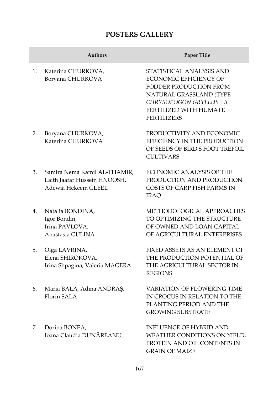# **POSTERS GALLERY**

|    | <b>Authors</b>                                                                      | Paper Title                                                                                                                                                                               |
|----|-------------------------------------------------------------------------------------|-------------------------------------------------------------------------------------------------------------------------------------------------------------------------------------------|
| 1. | Katerina CHURKOVA,<br>Boryana CHURKOVA                                              | STATISTICAL ANALYSIS AND<br><b>ECONOMIC EFFICIENCY OF</b><br>FODDER PRODUCTION FROM<br>NATURAL GRASSLAND (TYPE<br>CHRYSOPOGON GRYLLUS L.)<br>FERTILIZED WITH HUMATE<br><b>FERTILIZERS</b> |
| 2. | Boryana CHURKOVA,<br>Katerina CHURKOVA                                              | PRODUCTIVITY AND ECONOMIC<br>EFFICIENCY IN THE PRODUCTION<br>OF SEEDS OF BIRD'S FOOT TREFOIL<br><b>CULTIVARS</b>                                                                          |
| 3. | Samira Nema Kamil AL-THAMIR,<br>Laith Jaafar Hussein HNOOSH,<br>Adewia Hekeem GLEEL | <b>ECONOMIC ANALYSIS OF THE</b><br>PRODUCTION AND PRODUCTION<br>COSTS OF CARP FISH FARMS IN<br><b>IRAO</b>                                                                                |
| 4. | Natalia BONDINA,<br>Igor Bondin,<br>Irina PAVLOVA,<br>Anastasia GULINA              | METHODOLOGICAL APPROACHES<br>TO OPTIMIZING THE STRUCTURE<br>OF OWNED AND LOAN CAPITAL<br>OF AGRICULTURAL ENTERPRISES                                                                      |
| 5. | Olga LAVRINA,<br>Elena SHIROKOVA,<br>Irina Shpagina, Valeria MAGERA                 | FIXED ASSETS AS AN ELEMENT OF<br>THE PRODUCTION POTENTIAL OF<br>THE AGRICULTURAL SECTOR IN<br><b>REGIONS</b>                                                                              |
| 6. | Maria BALA, Adina ANDRAȘ,<br><b>Florin SALA</b>                                     | VARIATION OF FLOWERING TIME<br>IN CROCUS IN RELATION TO THE<br>PLANTING PERIOD AND THE<br><b>GROWING SUBSTRATE</b>                                                                        |
| 7. | Dorina BONEA,<br>Ioana Claudia DUNĂREANU                                            | <b>INFLUENCE OF HYBRID AND</b><br>WEATHER CONDITIONS ON YIELD,<br>PROTEIN AND OIL CONTENTS IN<br><b>GRAIN OF MAIZE</b>                                                                    |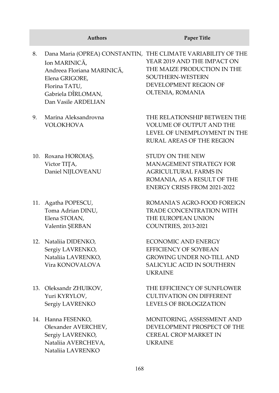- 8. Dana Maria (OPREA) CONSTANTIN, THE CLIMATE VARIABILITY OF THE Ion MARINICĂ, Andreea Floriana MARINICĂ, Elena GRIGORE, Florina TATU, Gabriela DÎRLOMAN, Dan Vasile ARDELIAN YEAR 2019 AND THE IMPACT ON THE MAIZE PRODUCTION IN THE SOUTHERN-WESTERN DEVELOPMENT REGION OF OLTENIA, ROMANIA
- 9. Marina Aleksandrovna VOLOKHOVA
- 10. Roxana HOROIAȘ, Victor TIȚA, Daniel NIJLOVEANU
- 11. Agatha POPESCU, Toma Adrian DINU, Elena STOIAN, Valentin ŞERBAN
- 12. Nataliia DIDENKO, Sergiy LAVRENKO, Nataliia LAVRENKO, Vira KONOVALOVA
- 13. Oleksandr ZHUIKOV, Yuri KYRYLOV, Sergiy LAVRENKO
- 14. Hanna FESENKO, Olexander AVERCHEV, Sergiy LAVRENKO, Nataliia AVERCHEVA, Nataliia LAVRENKO

#### **Authors Paper Title**

THE RELATIONSHIP BETWEEN THE VOLUME OF OUTPUT AND THE LEVEL OF UNEMPLOYMENT IN THE RURAL AREAS OF THE REGION

STUDY ON THE NEW MANAGEMENT STRATEGY FOR AGRICULTURAL FARMS IN ROMANIA, AS A RESULT OF THE ENERGY CRISIS FROM 2021-2022

ROMANIA'S AGRO-FOOD FOREIGN TRADE CONCENTRATION WITH THE EUROPEAN UNION COUNTRIES, 2013-2021

ECONOMIC AND ENERGY EFFICIENCY OF SOYBEAN GROWING UNDER NO-TILL AND SALICYLIC ACID IN SOUTHERN UKRAINE

THE EFFICIENCY OF SUNFLOWER CULTIVATION ON DIFFERENT LEVELS OF BIOLOGIZATION

MONITORING, ASSESSMENT AND DEVELOPMENT PROSPECT OF THE CEREAL CROP MARKET IN UKRAINE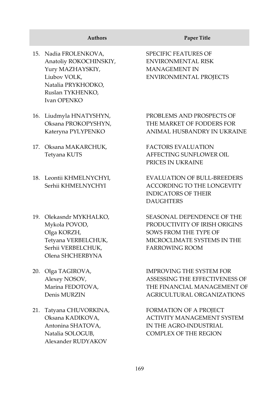- 15. Nadia FROLENKOVA, Anatoliy ROKOCHINSKIY, Yury MAZHAYSKIY, Liubov VOLK, Natalіa PRYKHODKO, Ruslan TYKHENKO, Ivan OPENKO
- 16. Liudmyla HNATYSHYN, Oksana PROKOPYSHYN, Kateryna PYLYPENKO
- 17. Oksana MAKARCHUK, Tetyana KUTS
- 18. Leontiі KHMELNYCHYI, Serhiі KHMELNYCHYI
- 19. Olekasndr MYKHALKO, Mykola POVOD, Olga KORZH, Tetyana VERBELCHUK, Serhii VERBELCHUK, Olena SHCHERBYNA
- 20. Olga TAGIROVA, Alexey NOSOV, Marina FEDOTOVA, Denis MURZIN
- 21. Tatyana CHUVORKINA, Oksana KADIKOVA, Antonina SHATOVA, Natalia SOLOGUB, Alexander RUDYAKOV

#### **Authors Paper Title**

SPECIFIC FEATURES OF ENVIRONMENTAL RISK MANAGEMENT IN ENVIRONMENTAL PROJECTS

PROBLEMS AND PROSPECTS OF THE MARKET OF FODDERS FOR ANIMAL HUSBANDRY IN UKRAINE

FACTORS EVALUATION AFFECTING SUNFLOWER OIL PRICES IN UKRAINE

EVALUATION OF BULL-BREEDERS ACCORDING TO THE LONGEVITY INDICATORS OF THEIR DAUGHTERS

SEASONAL DEPENDENCE OF THE PRODUCTIVITY OF IRISH ORIGINS SOWS FROM THE TYPE OF MICROCLIMATE SYSTEMS IN THE FARROWING ROOM

IMPROVING THE SYSTEM FOR ASSESSING THE EFFECTIVENESS OF THE FINANCIAL MANAGEMENT OF AGRICULTURAL ORGANIZATIONS

FORMATION OF A PROJECT ACTIVITY MANAGEMENT SYSTEM IN THE AGRO-INDUSTRIAL COMPLEX OF THE REGION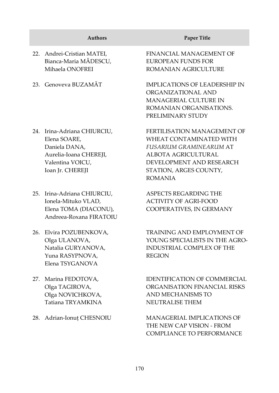|     | <b>Authors</b>                                                                                                             | <b>Paper Title</b>                                                                                                                                                               |
|-----|----------------------------------------------------------------------------------------------------------------------------|----------------------------------------------------------------------------------------------------------------------------------------------------------------------------------|
| 22. | Andrei-Cristian MATEI,<br>Bianca-Maria MĂDESCU,<br>Mihaela ONOFREI                                                         | FINANCIAL MANAGEMENT OF<br>EUROPEAN FUNDS FOR<br>ROMANIAN AGRICULTURE                                                                                                            |
| 23. | Genoveva BUZAMĂT                                                                                                           | <b>IMPLICATIONS OF LEADERSHIP IN</b><br>ORGANIZATIONAL AND<br>MANAGERIAL CULTURE IN<br>ROMANIAN ORGANISATIONS.<br>PRELIMINARY STUDY                                              |
| 24. | Irina-Adriana CHIURCIU,<br>Elena SOARE,<br>Daniela DANA,<br>Aurelia-Ioana CHEREJI,<br>Valentina VOICU,<br>Ioan Jr. CHEREJI | FERTILISATION MANAGEMENT OF<br>WHEAT CONTAMINATED WITH<br>FUSARIUM GRAMINEARUM AT<br>ALBOTA AGRICULTURAL<br>DEVELOPMENT AND RESEARCH<br>STATION, ARGES COUNTY,<br><b>ROMANIA</b> |
| 25. | Irina-Adriana CHIURCIU,<br>Ionela-Mituko VLAD,<br>Elena TOMA (DIACONU),<br>Andreea-Roxana FIRATOILL                        | ASPECTS REGARDING THE<br><b>ACTIVITY OF AGRI-FOOD</b><br>COOPERATIVES, IN GERMANY                                                                                                |
|     |                                                                                                                            | $\pi$                                                                                                                                                                            |

- 26. Elvira POZUBENKOVA, Olga ULANOVA, Natalia GURYANOVA, Yuna RASYPNOVA, Elena TSYGANOVA
- 27. Marina FEDOTOVA, Оlga TAGIROVA, Оlga NOVICHKOVA, Tatiana TRYAMKINA
- 

TRAINING AND EMPLOYMENT OF YOUNG SPECIALISTS IN THE AGRO-INDUSTRIAL COMPLEX OF THE REGION

IDENTIFICATION OF COMMERCIAL ORGANISATION FINANCIAL RISKS AND MECHANISMS TO NEUTRALISE THEM

28. Adrian-Ionuț CHESNOIU MANAGERIAL IMPLICATIONS OF THE NEW CAP VISION - FROM COMPLIANCE TO PERFORMANCE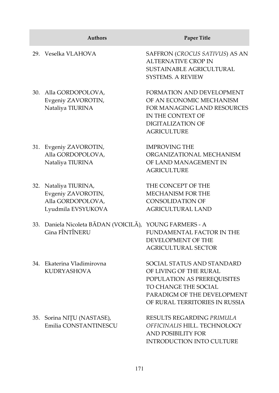|     | <b>Authors</b>                                                                         | Paper Title                                                                                                                                                                  |
|-----|----------------------------------------------------------------------------------------|------------------------------------------------------------------------------------------------------------------------------------------------------------------------------|
|     | 29. Veselka VLAHOVA                                                                    | SAFFRON (CROCUS SATIVUS) AS AN<br><b>ALTERNATIVE CROP IN</b><br>SUSTAINABLE AGRICULTURAL<br><b>SYSTEMS. A REVIEW</b>                                                         |
|     | 30. Alla GORDOPOLOVA,<br>Evgeniy ZAVOROTIN,<br>Nataliya TIURINA                        | FORMATION AND DEVELOPMENT<br>OF AN ECONOMIC MECHANISM<br>FOR MANAGING LAND RESOURCES<br>IN THE CONTEXT OF<br><b>DIGITALIZATION OF</b><br><b>AGRICULTURE</b>                  |
|     | 31. Evgeniy ZAVOROTIN,<br>Alla GORDOPOLOVA,<br>Nataliya TIURINA                        | <b>IMPROVING THE</b><br>ORGANIZATIONAL MECHANISM<br>OF LAND MANAGEMENT IN<br><b>AGRICULTURE</b>                                                                              |
|     | 32. Nataliya TIURINA,<br>Evgeniy ZAVOROTIN,<br>Alla GORDOPOLOVA,<br>Lyudmila EVSYUKOVA | THE CONCEPT OF THE<br>MECHANISM FOR THE<br><b>CONSOLIDATION OF</b><br><b>AGRICULTURAL LAND</b>                                                                               |
|     | 33. Daniela Nicoleta BĂDAN (VOICILĂ),<br>Gina FÎNTÎNERU                                | YOUNG FARMERS - A<br>FUNDAMENTAL FACTOR IN THE<br>DEVELOPMENT OF THE<br><b>AGRICULTURAL SECTOR</b>                                                                           |
|     | 34. Ekaterina Vladimirovna<br><b>KUDRYASHOVA</b>                                       | SOCIAL STATUS AND STANDARD<br>OF LIVING OF THE RURAL<br>POPULATION AS PREREQUISITES<br>TO CHANGE THE SOCIAL<br>PARADIGM OF THE DEVELOPMENT<br>OF RURAL TERRITORIES IN RUSSIA |
| 35. | Sorina NIȚU (NASTASE),<br>Emilia CONSTANTINESCU                                        | RESULTS REGARDING PRIMULA<br>OFFICINALIS HILL. TECHNOLOGY<br>AND POSIBILITY FOR<br>INTRODUCTION INTO CULTURE                                                                 |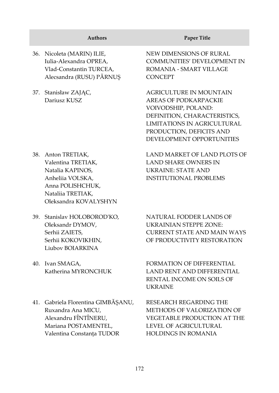|     | <b>Authors</b>                                                                                                                                     | Paper Title                                                                                                                                                                                     |
|-----|----------------------------------------------------------------------------------------------------------------------------------------------------|-------------------------------------------------------------------------------------------------------------------------------------------------------------------------------------------------|
|     | 36. Nicoleta (MARIN) ILIE,<br>Iulia-Alexandra OPREA,<br>Vlad-Constantin TURCEA,<br>Alecsandra (RUSU) PĂRNUȘ                                        | NEW DIMENSIONS OF RURAL<br>COMMUNITIES' DEVELOPMENT IN<br>ROMANIA - SMART VILLAGE<br><b>CONCEPT</b>                                                                                             |
| 37. | Stanisław ZAJĄC,<br>Dariusz KUSZ                                                                                                                   | AGRICULTURE IN MOUNTAIN<br>AREAS OF PODKARPACKIE<br>VOIVODSHIP, POLAND:<br>DEFINITION, CHARACTERISTICS,<br>LIMITATIONS IN AGRICULTURAL<br>PRODUCTION, DEFICITS AND<br>DEVELOPMENT OPPORTUNITIES |
|     | 38. Anton TRETIAK,<br>Valentina TRETIAK,<br>Natalia KAPINOS,<br>Anheliia VOLSKA,<br>Anna POLISHCHUK,<br>Nataliia TRETIAK,<br>Oleksandra KOVALYSHYN | LAND MARKET OF LAND PLOTS OF<br><b>LAND SHARE OWNERS IN</b><br><b>UKRAINE: STATE AND</b><br><b>INSTITUTIONAL PROBLEMS</b>                                                                       |
| 39. | Stanislav HOLOBOROD'KO,<br>Oleksandr DYMOV,<br>Serhii ZAIETS,<br>Serhii KOKOVIKHIN,<br>Liubov BOIARKINA                                            | NATURAL FODDER LANDS OF<br>UKRAINIAN STEPPE ZONE:<br><b>CURRENT STATE AND MAIN WAYS</b><br>OF PRODUCTIVITY RESTORATION                                                                          |
| 40. | Ivan SMAGA,<br>Katherina MYRONCHUK                                                                                                                 | FORMATION OF DIFFERENTIAL<br><b>LAND RENT AND DIFFERENTIAL</b><br>RENTAL INCOME ON SOILS OF<br><b>UKRAINE</b>                                                                                   |
|     | 41. Gabriela Florentina GIMBĂȘANU,<br>Ruxandra Ana MICU,<br>Alexandru FÎNTÎNERU,                                                                   | RESEARCH REGARDING THE<br>METHODS OF VALORIZATION OF<br>VEGETABLE PRODUCTION AT THE                                                                                                             |

Alexandru FÎNTÎNERU, Mariana POSTAMENTEL, Valentina Constanța TUDOR

172

LEVEL OF AGRICULTURAL HOLDINGS IN ROMANIA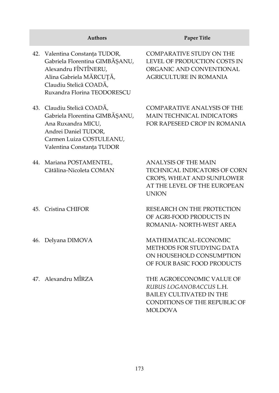|     | <b>Authors</b>                                                                                                                                                               | Paper Title                                                                                                                                |
|-----|------------------------------------------------------------------------------------------------------------------------------------------------------------------------------|--------------------------------------------------------------------------------------------------------------------------------------------|
|     | 42. Valentina Constanța TUDOR,<br>Gabriela Florentina GIMBĂȘANU,<br>Alexandru FÎNTÎNERU,<br>Alina Gabriela MĂRCUȚĂ,<br>Claudiu Stelică COADĂ,<br>Ruxandra Florina TEODORESCU | <b>COMPARATIVE STUDY ON THE</b><br>LEVEL OF PRODUCTION COSTS IN<br>ORGANIC AND CONVENTIONAL<br><b>AGRICULTURE IN ROMANIA</b>               |
|     | 43. Claudiu Stelică COADĂ,<br>Gabriela Florentina GIMBĂȘANU,<br>Ana Ruxandra MICU,<br>Andrei Daniel TUDOR,<br>Carmen Luiza COSTULEANU,<br>Valentina Constanța TUDOR          | <b>COMPARATIVE ANALYSIS OF THE</b><br><b>MAIN TECHNICAL INDICATORS</b><br>FOR RAPESEED CROP IN ROMANIA                                     |
|     | 44. Mariana POSTAMENTEL,<br>Cătălina-Nicoleta COMAN                                                                                                                          | <b>ANALYSIS OF THE MAIN</b><br>TECHNICAL INDICATORS OF CORN<br>CROPS, WHEAT AND SUNFLOWER<br>AT THE LEVEL OF THE EUROPEAN<br><b>UNION</b>  |
|     | 45. Cristina CHIFOR                                                                                                                                                          | RESEARCH ON THE PROTECTION<br>OF AGRI-FOOD PRODUCTS IN<br>ROMANIA- NORTH-WEST AREA                                                         |
| 46. | Delyana DIMOVA                                                                                                                                                               | MATHEMATICAL-ECONOMIC<br>METHODS FOR STUDYING DATA<br>ON HOUSEHOLD CONSUMPTION<br>OF FOUR BASIC FOOD PRODUCTS                              |
|     | 47. Alexandru MÎRZA                                                                                                                                                          | THE AGROECONOMIC VALUE OF<br>RUBUS LOGANOBACCUS L.H.<br><b>BAILEY CULTIVATED IN THE</b><br>CONDITIONS OF THE REPUBLIC OF<br><b>MOLDOVA</b> |

 $\overline{\phantom{a}}$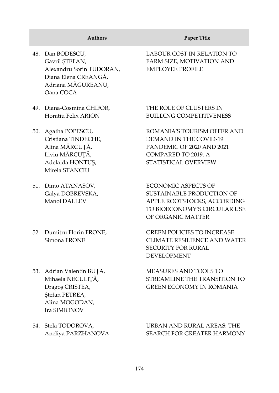- 48. Dan BODESCU, Gavril ȘTEFAN, Alexandru Sorin TUDORAN, Diana Elena CREANGĂ, Adriana MĂGUREANU, Oana COCA
- 49. Diana-Cosmina CHIFOR, Horatiu Felix ARION
- 50. Agatha POPESCU, Cristiana TINDECHE, Alina MĂRCUŢĂ, Liviu MĂRCUŢĂ, Adelaida HONTUŞ, Mirela STANCIU
- 51. Dimo ATANASOV, Galya DOBREVSKA, Manol DALLEV
- 52. Dumitru Florin FRONE, Simona FRONE
- 53. Adrian Valentin BUȚA, Mihaela NECULIȚĂ, Dragoș CRISTEA, Stefan PETREA, Alina MOGODAN, Ira SIMIONOV
- 54. Stela TODOROVA, Aneliya PARZHANOVA

#### **Authors Paper Title**

LABOUR COST IN RELATION TO FARM SIZE, MOTIVATION AND EMPLOYEE PROFILE

THE ROLE OF CLUSTERS IN BUILDING COMPETITIVENESS

ROMANIA'S TOURISM OFFER AND DEMAND IN THE COVID-19 PANDEMIC OF 2020 AND 2021 COMPARED TO 2019. A STATISTICAL OVERVIEW

ECONOMIC ASPECTS OF SUSTAINABLE PRODUCTION OF APPLE ROOTSTOCKS, ACCORDING TO BIOECONOMY'S CIRCULAR USE OF ORGANIC MATTER

GREEN POLICIES TO INCREASE CLIMATE RESILIENCE AND WATER SECURITY FOR RURAL DEVELOPMENT

MEASURES AND TOOLS TO STREAMLINE THE TRANSITION TO GREEN ECONOMY IN ROMANIA

## URBAN AND RURAL AREAS: THE SEARCH FOR GREATER HARMONY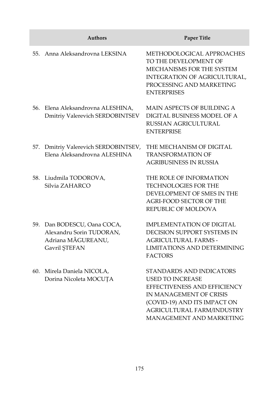|     | <b>Authors</b>                                                                                 | <b>Paper Title</b>                                                                                                                                                                                       |
|-----|------------------------------------------------------------------------------------------------|----------------------------------------------------------------------------------------------------------------------------------------------------------------------------------------------------------|
| 55. | Anna Aleksandrovna LEKSINA                                                                     | METHODOLOGICAL APPROACHES<br>TO THE DEVELOPMENT OF<br>MECHANISMS FOR THE SYSTEM<br>INTEGRATION OF AGRICULTURAL,<br>PROCESSING AND MARKETING<br><b>ENTERPRISES</b>                                        |
|     | 56. Elena Aleksandrovna ALESHINA,<br>Dmitriy Valerevich SERDOBINTSEV                           | MAIN ASPECTS OF BUILDING A<br>DIGITAL BUSINESS MODEL OF A<br>RUSSIAN AGRICULTURAL<br><b>ENTERPRISE</b>                                                                                                   |
|     | 57. Dmitriy Valerevich SERDOBINTSEV,<br>Elena Aleksandrovna ALESHINA                           | THE MECHANISM OF DIGITAL<br><b>TRANSFORMATION OF</b><br><b>AGRIBUSINESS IN RUSSIA</b>                                                                                                                    |
|     | 58. Liudmila TODOROVA,<br>Silvia ZAHARCO                                                       | THE ROLE OF INFORMATION<br>TECHNOLOGIES FOR THE<br>DEVELOPMENT OF SMES IN THE<br><b>AGRI-FOOD SECTOR OF THE</b><br>REPUBLIC OF MOLDOVA                                                                   |
|     | 59. Dan BODESCU, Oana COCA,<br>Alexandru Sorin TUDORAN,<br>Adriana MĂGUREANU,<br>Gavril ŞTEFAN | <b>IMPLEMENTATION OF DIGITAL</b><br>DECISION SUPPORT SYSTEMS IN<br><b>AGRICULTURAL FARMS -</b><br>LIMITATIONS AND DETERMINING<br><b>FACTORS</b>                                                          |
|     | 60. Mirela Daniela NICOLA,<br>Dorina Nicoleta MOCUȚA                                           | STANDARDS AND INDICATORS<br><b>USED TO INCREASE</b><br>EFFECTIVENESS AND EFFICIENCY<br>IN MANAGEMENT OF CRISIS<br>(COVID-19) AND ITS IMPACT ON<br>AGRICULTURAL FARM/INDUSTRY<br>MANAGEMENT AND MARKETING |